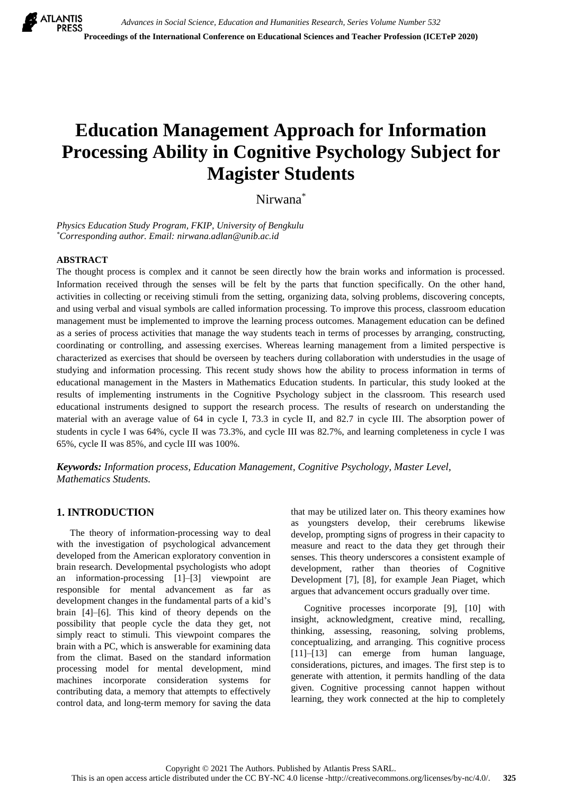

# **Education Management Approach for Information Processing Ability in Cognitive Psychology Subject for Magister Students**

Nirwana\*

*Physics Education Study Program, FKIP, University of Bengkulu \*Corresponding author. Email[: nirwana.adlan@unib.ac.id](mailto:nirwana.adlan@unib.ac.id)*

# **ABSTRACT**

The thought process is complex and it cannot be seen directly how the brain works and information is processed. Information received through the senses will be felt by the parts that function specifically. On the other hand, activities in collecting or receiving stimuli from the setting, organizing data, solving problems, discovering concepts, and using verbal and visual symbols are called information processing. To improve this process, classroom education management must be implemented to improve the learning process outcomes. Management education can be defined as a series of process activities that manage the way students teach in terms of processes by arranging, constructing, coordinating or controlling, and assessing exercises. Whereas learning management from a limited perspective is characterized as exercises that should be overseen by teachers during collaboration with understudies in the usage of studying and information processing. This recent study shows how the ability to process information in terms of educational management in the Masters in Mathematics Education students. In particular, this study looked at the results of implementing instruments in the Cognitive Psychology subject in the classroom. This research used educational instruments designed to support the research process. The results of research on understanding the material with an average value of 64 in cycle I, 73.3 in cycle II, and 82.7 in cycle III. The absorption power of students in cycle I was 64%, cycle II was 73.3%, and cycle III was 82.7%, and learning completeness in cycle I was 65%, cycle II was 85%, and cycle III was 100%.

*Keywords: Information process, Education Management, Cognitive Psychology, Master Level, Mathematics Students.*

# **1. INTRODUCTION**

The theory of information-processing way to deal with the investigation of psychological advancement developed from the American exploratory convention in brain research. Developmental psychologists who adopt an information-processing [1]–[3] viewpoint are responsible for mental advancement as far as development changes in the fundamental parts of a kid's brain [4]–[6]. This kind of theory depends on the possibility that people cycle the data they get, not simply react to stimuli. This viewpoint compares the brain with a PC, which is answerable for examining data from the climat. Based on the standard information processing model for mental development, mind machines incorporate consideration systems for contributing data, a memory that attempts to effectively control data, and long-term memory for saving the data that may be utilized later on. This theory examines how as youngsters develop, their cerebrums likewise develop, prompting signs of progress in their capacity to measure and react to the data they get through their senses. This theory underscores a consistent example of development, rather than theories of Cognitive Development [7], [8], for example Jean Piaget, which argues that advancement occurs gradually over time.

Cognitive processes incorporate [9], [10] with insight, acknowledgment, creative mind, recalling, thinking, assessing, reasoning, solving problems, conceptualizing, and arranging. This cognitive process [11]–[13] can emerge from human language, considerations, pictures, and images. The first step is to generate with attention, it permits handling of the data given. Cognitive processing cannot happen without learning, they work connected at the hip to completely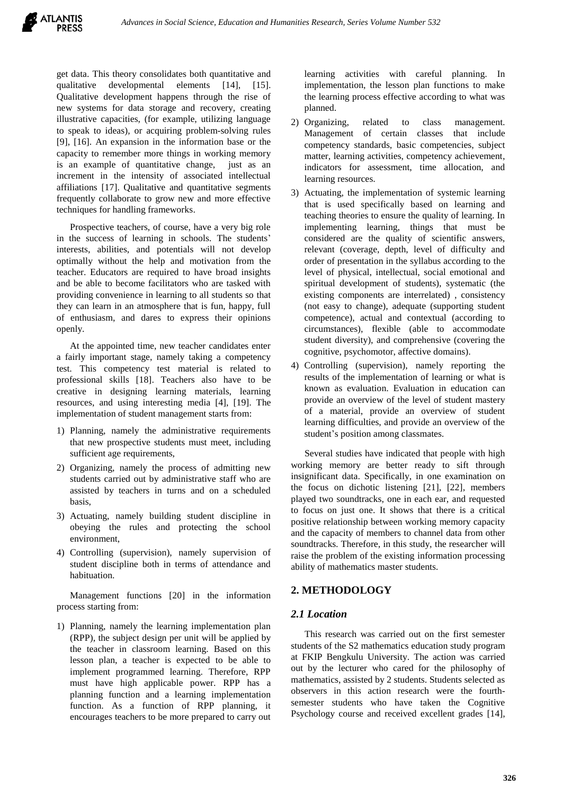

get data. This theory consolidates both quantitative and qualitative developmental elements [14], [15]. Qualitative development happens through the rise of new systems for data storage and recovery, creating illustrative capacities, (for example, utilizing language to speak to ideas), or acquiring problem-solving rules [9], [16]. An expansion in the information base or the capacity to remember more things in working memory is an example of quantitative change, just as an increment in the intensity of associated intellectual affiliations [17]. Qualitative and quantitative segments frequently collaborate to grow new and more effective techniques for handling frameworks.

Prospective teachers, of course, have a very big role in the success of learning in schools. The students' interests, abilities, and potentials will not develop optimally without the help and motivation from the teacher. Educators are required to have broad insights and be able to become facilitators who are tasked with providing convenience in learning to all students so that they can learn in an atmosphere that is fun, happy, full of enthusiasm, and dares to express their opinions openly.

At the appointed time, new teacher candidates enter a fairly important stage, namely taking a competency test. This competency test material is related to professional skills [18]. Teachers also have to be creative in designing learning materials, learning resources, and using interesting media [4], [19]. The implementation of student management starts from:

- 1) Planning, namely the administrative requirements that new prospective students must meet, including sufficient age requirements,
- 2) Organizing, namely the process of admitting new students carried out by administrative staff who are assisted by teachers in turns and on a scheduled basis,
- 3) Actuating, namely building student discipline in obeying the rules and protecting the school environment,
- 4) Controlling (supervision), namely supervision of student discipline both in terms of attendance and habituation.

Management functions [20] in the information process starting from:

1) Planning, namely the learning implementation plan (RPP), the subject design per unit will be applied by the teacher in classroom learning. Based on this lesson plan, a teacher is expected to be able to implement programmed learning. Therefore, RPP must have high applicable power. RPP has a planning function and a learning implementation function. As a function of RPP planning, it encourages teachers to be more prepared to carry out learning activities with careful planning. In implementation, the lesson plan functions to make the learning process effective according to what was planned.

- 2) Organizing, related to class management. Management of certain classes that include competency standards, basic competencies, subject matter, learning activities, competency achievement, indicators for assessment, time allocation, and learning resources.
- 3) Actuating, the implementation of systemic learning that is used specifically based on learning and teaching theories to ensure the quality of learning. In implementing learning, things that must be considered are the quality of scientific answers, relevant (coverage, depth, level of difficulty and order of presentation in the syllabus according to the level of physical, intellectual, social emotional and spiritual development of students), systematic (the existing components are interrelated) , consistency (not easy to change), adequate (supporting student competence), actual and contextual (according to circumstances), flexible (able to accommodate student diversity), and comprehensive (covering the cognitive, psychomotor, affective domains).
- 4) Controlling (supervision), namely reporting the results of the implementation of learning or what is known as evaluation. Evaluation in education can provide an overview of the level of student mastery of a material, provide an overview of student learning difficulties, and provide an overview of the student's position among classmates.

Several studies have indicated that people with high working memory are better ready to sift through insignificant data. Specifically, in one examination on the focus on dichotic listening [21], [22], members played two soundtracks, one in each ear, and requested to focus on just one. It shows that there is a critical positive relationship between working memory capacity and the capacity of members to channel data from other soundtracks. Therefore, in this study, the researcher will raise the problem of the existing information processing ability of mathematics master students.

# **2. METHODOLOGY**

# *2.1 Location*

This research was carried out on the first semester students of the S2 mathematics education study program at FKIP Bengkulu University. The action was carried out by the lecturer who cared for the philosophy of mathematics, assisted by 2 students. Students selected as observers in this action research were the fourthsemester students who have taken the Cognitive Psychology course and received excellent grades [14],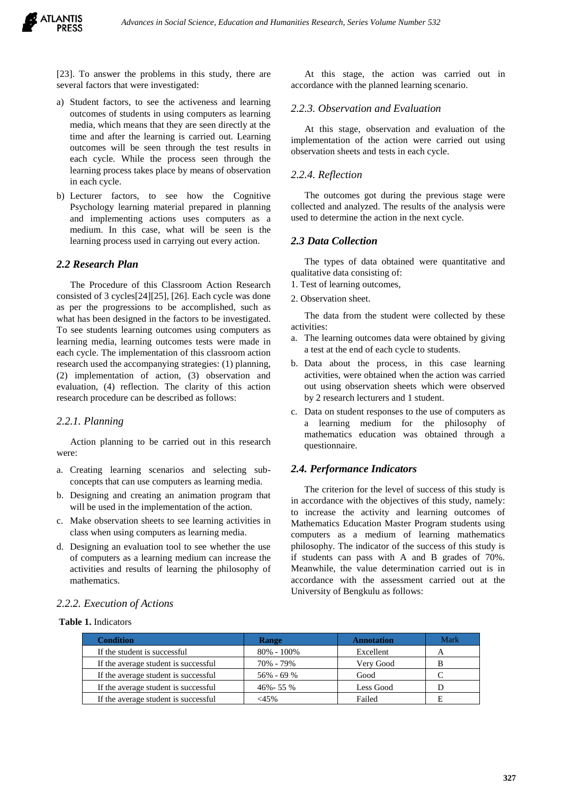

[23]. To answer the problems in this study, there are several factors that were investigated:

- a) Student factors, to see the activeness and learning outcomes of students in using computers as learning media, which means that they are seen directly at the time and after the learning is carried out. Learning outcomes will be seen through the test results in each cycle. While the process seen through the learning process takes place by means of observation in each cycle.
- b) Lecturer factors, to see how the Cognitive Psychology learning material prepared in planning and implementing actions uses computers as a medium. In this case, what will be seen is the learning process used in carrying out every action.

# *2.2 Research Plan*

The Procedure of this Classroom Action Research consisted of 3 cycles[24][25], [26]. Each cycle was done as per the progressions to be accomplished, such as what has been designed in the factors to be investigated. To see students learning outcomes using computers as learning media, learning outcomes tests were made in each cycle. The implementation of this classroom action research used the accompanying strategies: (1) planning, (2) implementation of action, (3) observation and evaluation, (4) reflection. The clarity of this action research procedure can be described as follows:

### *2.2.1. Planning*

Action planning to be carried out in this research were:

- a. Creating learning scenarios and selecting subconcepts that can use computers as learning media.
- b. Designing and creating an animation program that will be used in the implementation of the action.
- c. Make observation sheets to see learning activities in class when using computers as learning media.
- d. Designing an evaluation tool to see whether the use of computers as a learning medium can increase the activities and results of learning the philosophy of mathematics.

# At this stage, the action was carried out in accordance with the planned learning scenario.

# *2.2.3. Observation and Evaluation*

At this stage, observation and evaluation of the implementation of the action were carried out using observation sheets and tests in each cycle.

#### *2.2.4. Reflection*

The outcomes got during the previous stage were collected and analyzed. The results of the analysis were used to determine the action in the next cycle.

#### *2.3 Data Collection*

The types of data obtained were quantitative and qualitative data consisting of:

- 1. Test of learning outcomes,
- 2. Observation sheet.

The data from the student were collected by these activities:

- a. The learning outcomes data were obtained by giving a test at the end of each cycle to students.
- b. Data about the process, in this case learning activities, were obtained when the action was carried out using observation sheets which were observed by 2 research lecturers and 1 student.
- c. Data on student responses to the use of computers as a learning medium for the philosophy of mathematics education was obtained through a questionnaire.

# *2.4. Performance Indicators*

The criterion for the level of success of this study is in accordance with the objectives of this study, namely: to increase the activity and learning outcomes of Mathematics Education Master Program students using computers as a medium of learning mathematics philosophy. The indicator of the success of this study is if students can pass with A and B grades of 70%. Meanwhile, the value determination carried out is in accordance with the assessment carried out at the University of Bengkulu as follows:

# *2.2.2. Execution of Actions*

#### **Table 1.** Indicators

| Condition                            | Range          | <b>Annotation</b> | Mark |
|--------------------------------------|----------------|-------------------|------|
| If the student is successful         | $80\% - 100\%$ | Excellent         | А    |
| If the average student is successful | 70% - 79%      | Very Good         | B    |
| If the average student is successful | $56\% - 69\%$  | Good              |      |
| If the average student is successful | $46\% - 55\%$  | Less Good         |      |
| If the average student is successful | $<45\%$        | Failed            |      |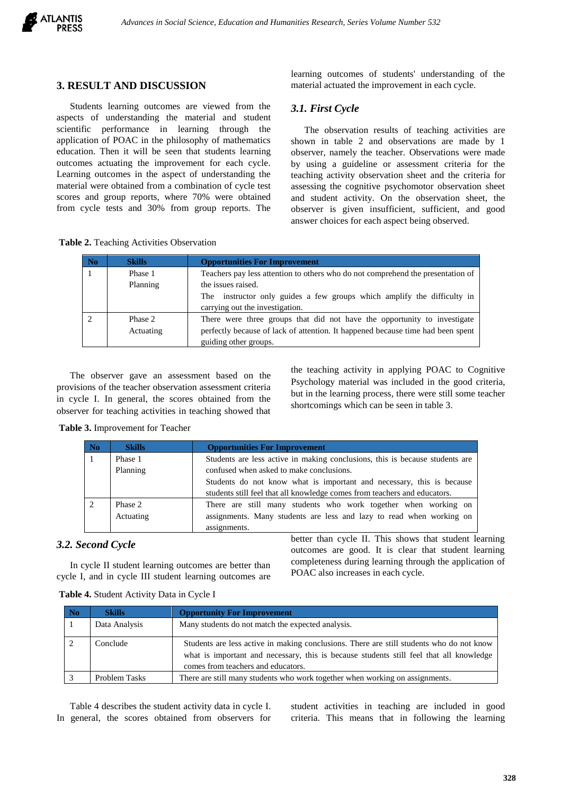

# **3. RESULT AND DISCUSSION**

**Table 2.** Teaching Activities Observation

Students learning outcomes are viewed from the aspects of understanding the material and student scientific performance in learning through the application of POAC in the philosophy of mathematics education. Then it will be seen that students learning outcomes actuating the improvement for each cycle. Learning outcomes in the aspect of understanding the material were obtained from a combination of cycle test scores and group reports, where 70% were obtained from cycle tests and 30% from group reports. The learning outcomes of students' understanding of the material actuated the improvement in each cycle.

# *3.1. First Cycle*

The observation results of teaching activities are shown in table 2 and observations are made by 1 observer, namely the teacher. Observations were made by using a guideline or assessment criteria for the teaching activity observation sheet and the criteria for assessing the cognitive psychomotor observation sheet and student activity. On the observation sheet, the observer is given insufficient, sufficient, and good answer choices for each aspect being observed.

| No | <b>Skills</b>        | <b>Opportunities For Improvement</b>                                                                                                                                                 |  |
|----|----------------------|--------------------------------------------------------------------------------------------------------------------------------------------------------------------------------------|--|
|    | Phase 1<br>Planning  | Teachers pay less attention to others who do not comprehend the presentation of<br>the issues raised.                                                                                |  |
|    |                      | The instructor only guides a few groups which amplify the difficulty in<br>carrying out the investigation.                                                                           |  |
|    | Phase 2<br>Actuating | There were three groups that did not have the opportunity to investigate<br>perfectly because of lack of attention. It happened because time had been spent<br>guiding other groups. |  |

The observer gave an assessment based on the provisions of the teacher observation assessment criteria in cycle I. In general, the scores obtained from the observer for teaching activities in teaching showed that

the teaching activity in applying POAC to Cognitive Psychology material was included in the good criteria, but in the learning process, there were still some teacher shortcomings which can be seen in table 3.

**Table 3.** Improvement for Teacher

| N <sub>0</sub> | <b>Skills</b> | <b>Opportunities For Improvement</b>                                         |  |  |
|----------------|---------------|------------------------------------------------------------------------------|--|--|
|                | Phase 1       | Students are less active in making conclusions, this is because students are |  |  |
|                | Planning      | confused when asked to make conclusions.                                     |  |  |
|                |               | Students do not know what is important and necessary, this is because        |  |  |
|                |               | students still feel that all knowledge comes from teachers and educators.    |  |  |
|                | Phase 2       | There are still many students who work together when working on              |  |  |
|                | Actuating     | assignments. Many students are less and lazy to read when working on         |  |  |
|                |               | assignments.                                                                 |  |  |

# *3.2. Second Cycle*

In cycle II student learning outcomes are better than cycle I, and in cycle III student learning outcomes are better than cycle II. This shows that student learning outcomes are good. It is clear that student learning completeness during learning through the application of POAC also increases in each cycle.

| Table 4. Student Activity Data in Cycle I |  |  |  |
|-------------------------------------------|--|--|--|
|                                           |  |  |  |

| N <sub>0</sub> | <b>Skills</b> | <b>Opportunity For Improvement</b>                                                                                                                                                                                        |
|----------------|---------------|---------------------------------------------------------------------------------------------------------------------------------------------------------------------------------------------------------------------------|
|                | Data Analysis | Many students do not match the expected analysis.                                                                                                                                                                         |
|                | Conclude      | Students are less active in making conclusions. There are still students who do not know<br>what is important and necessary, this is because students still feel that all knowledge<br>comes from teachers and educators. |
|                | Problem Tasks | There are still many students who work together when working on assignments.                                                                                                                                              |

Table 4 describes the student activity data in cycle I. In general, the scores obtained from observers for student activities in teaching are included in good criteria. This means that in following the learning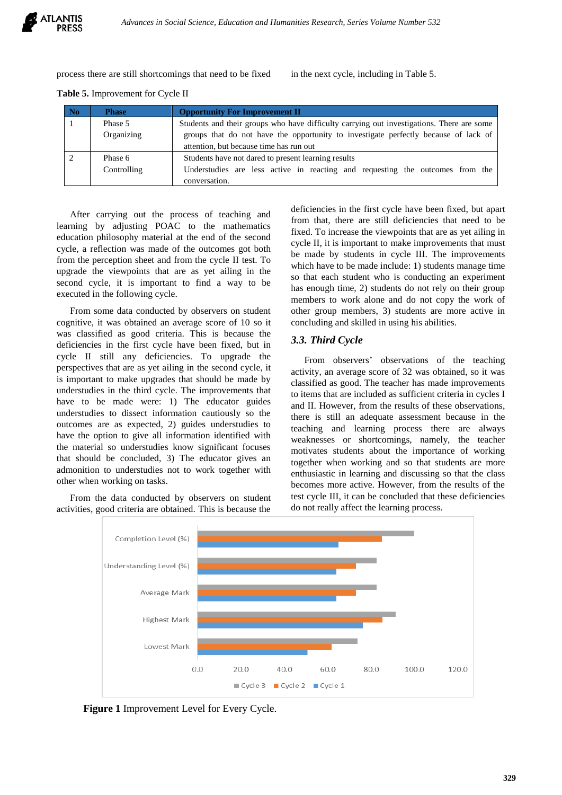

process there are still shortcomings that need to be fixed in the next cycle, including in Table 5.

| No | <b>Phase</b> | <b>Opportunity For Improvement II</b>                                                     |  |
|----|--------------|-------------------------------------------------------------------------------------------|--|
|    | Phase 5      | Students and their groups who have difficulty carrying out investigations. There are some |  |
|    | Organizing   | groups that do not have the opportunity to investigate perfectly because of lack of       |  |
|    |              | attention, but because time has run out                                                   |  |
|    | Phase 6      | Students have not dared to present learning results                                       |  |
|    | Controlling  | Understudies are less active in reacting and requesting the outcomes from the             |  |
|    |              | conversation.                                                                             |  |

**Table 5.** Improvement for Cycle II

After carrying out the process of teaching and learning by adjusting POAC to the mathematics education philosophy material at the end of the second cycle, a reflection was made of the outcomes got both from the perception sheet and from the cycle II test. To upgrade the viewpoints that are as yet ailing in the second cycle, it is important to find a way to be executed in the following cycle.

From some data conducted by observers on student cognitive, it was obtained an average score of 10 so it was classified as good criteria. This is because the deficiencies in the first cycle have been fixed, but in cycle II still any deficiencies. To upgrade the perspectives that are as yet ailing in the second cycle, it is important to make upgrades that should be made by understudies in the third cycle. The improvements that have to be made were: 1) The educator guides understudies to dissect information cautiously so the outcomes are as expected, 2) guides understudies to have the option to give all information identified with the material so understudies know significant focuses that should be concluded, 3) The educator gives an admonition to understudies not to work together with other when working on tasks.

From the data conducted by observers on student activities, good criteria are obtained. This is because the deficiencies in the first cycle have been fixed, but apart from that, there are still deficiencies that need to be fixed. To increase the viewpoints that are as yet ailing in cycle II, it is important to make improvements that must be made by students in cycle III. The improvements which have to be made include: 1) students manage time so that each student who is conducting an experiment has enough time, 2) students do not rely on their group members to work alone and do not copy the work of other group members, 3) students are more active in concluding and skilled in using his abilities.

# *3.3. Third Cycle*

From observers' observations of the teaching activity, an average score of 32 was obtained, so it was classified as good. The teacher has made improvements to items that are included as sufficient criteria in cycles I and II. However, from the results of these observations, there is still an adequate assessment because in the teaching and learning process there are always weaknesses or shortcomings, namely, the teacher motivates students about the importance of working together when working and so that students are more enthusiastic in learning and discussing so that the class becomes more active. However, from the results of the test cycle III, it can be concluded that these deficiencies do not really affect the learning process.



**Figure 1** Improvement Level for Every Cycle.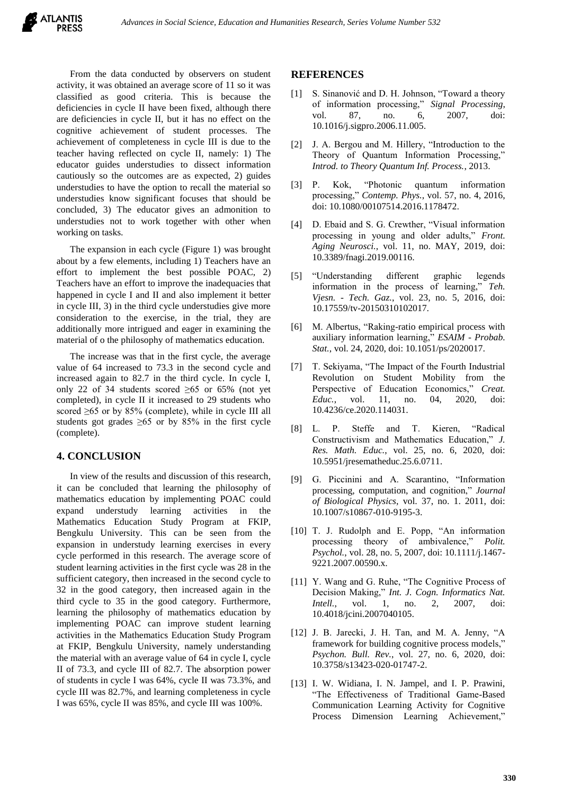

From the data conducted by observers on student activity, it was obtained an average score of 11 so it was classified as good criteria. This is because the deficiencies in cycle II have been fixed, although there are deficiencies in cycle II, but it has no effect on the cognitive achievement of student processes. The achievement of completeness in cycle III is due to the teacher having reflected on cycle II, namely: 1) The educator guides understudies to dissect information cautiously so the outcomes are as expected, 2) guides understudies to have the option to recall the material so understudies know significant focuses that should be concluded, 3) The educator gives an admonition to understudies not to work together with other when working on tasks.

The expansion in each cycle (Figure 1) was brought about by a few elements, including 1) Teachers have an effort to implement the best possible POAC, 2) Teachers have an effort to improve the inadequacies that happened in cycle I and II and also implement it better in cycle III, 3) in the third cycle understudies give more consideration to the exercise, in the trial, they are additionally more intrigued and eager in examining the material of o the philosophy of mathematics education.

The increase was that in the first cycle, the average value of 64 increased to 73.3 in the second cycle and increased again to 82.7 in the third cycle. In cycle I, only 22 of 34 students scored  $\geq 65$  or 65% (not yet completed), in cycle II it increased to 29 students who scored  $\geq 65$  or by 85% (complete), while in cycle III all students got grades  $\geq 65$  or by 85% in the first cycle (complete).

# **4. CONCLUSION**

In view of the results and discussion of this research, it can be concluded that learning the philosophy of mathematics education by implementing POAC could expand understudy learning activities in the Mathematics Education Study Program at FKIP, Bengkulu University. This can be seen from the expansion in understudy learning exercises in every cycle performed in this research. The average score of student learning activities in the first cycle was 28 in the sufficient category, then increased in the second cycle to 32 in the good category, then increased again in the third cycle to 35 in the good category. Furthermore, learning the philosophy of mathematics education by implementing POAC can improve student learning activities in the Mathematics Education Study Program at FKIP, Bengkulu University, namely understanding the material with an average value of 64 in cycle I, cycle II of 73.3, and cycle III of 82.7. The absorption power of students in cycle I was 64%, cycle II was 73.3%, and cycle III was 82.7%, and learning completeness in cycle I was 65%, cycle II was 85%, and cycle III was 100%.

#### **REFERENCES**

- [1] S. Sinanović and D. H. Johnson, "Toward a theory of information processing," *Signal Processing*, vol. 87, no. 6, 2007, doi: 10.1016/j.sigpro.2006.11.005.
- [2] J. A. Bergou and M. Hillery, "Introduction to the Theory of Quantum Information Processing," *Introd. to Theory Quantum Inf. Process.*, 2013.
- [3] P. Kok, "Photonic quantum information processing," *Contemp. Phys.*, vol. 57, no. 4, 2016, doi: 10.1080/00107514.2016.1178472.
- [4] D. Ebaid and S. G. Crewther, "Visual information processing in young and older adults," *Front. Aging Neurosci.*, vol. 11, no. MAY, 2019, doi: 10.3389/fnagi.2019.00116.
- [5] "Understanding different graphic legends information in the process of learning," *Teh. Vjesn. - Tech. Gaz.*, vol. 23, no. 5, 2016, doi: 10.17559/tv-20150310102017.
- [6] M. Albertus, "Raking-ratio empirical process with auxiliary information learning," *ESAIM - Probab. Stat.*, vol. 24, 2020, doi: 10.1051/ps/2020017.
- [7] T. Sekiyama, "The Impact of the Fourth Industrial Revolution on Student Mobility from the Perspective of Education Economics," *Creat. Educ.*, vol. 11, no. 04, 2020, doi: 10.4236/ce.2020.114031.
- [8] L. P. Steffe and T. Kieren, "Radical Constructivism and Mathematics Education," *J. Res. Math. Educ.*, vol. 25, no. 6, 2020, doi: 10.5951/jresematheduc.25.6.0711.
- [9] G. Piccinini and A. Scarantino, "Information processing, computation, and cognition," *Journal of Biological Physics*, vol. 37, no. 1. 2011, doi: 10.1007/s10867-010-9195-3.
- [10] T. J. Rudolph and E. Popp, "An information processing theory of ambivalence," *Polit. Psychol.*, vol. 28, no. 5, 2007, doi: 10.1111/j.1467- 9221.2007.00590.x.
- [11] Y. Wang and G. Ruhe, "The Cognitive Process of Decision Making," *Int. J. Cogn. Informatics Nat. Intell.*, vol. 1, no. 2, 2007, doi: 10.4018/jcini.2007040105.
- [12] J. B. Jarecki, J. H. Tan, and M. A. Jenny, "A framework for building cognitive process models," *Psychon. Bull. Rev.*, vol. 27, no. 6, 2020, doi: 10.3758/s13423-020-01747-2.
- [13] I. W. Widiana, I. N. Jampel, and I. P. Prawini, "The Effectiveness of Traditional Game-Based Communication Learning Activity for Cognitive Process Dimension Learning Achievement,"